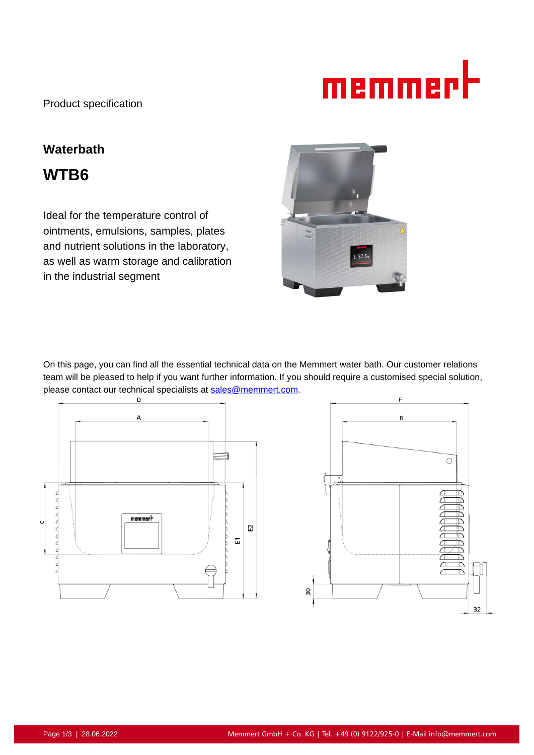

# **Waterbath WTB6**

Ideal for the temperature control of ointments, emulsions, samples, plates and nutrient solutions in the laboratory, as well as warm storage and calibration in the industrial segment



On this page, you can find all the essential technical data on the Memmert water bath. Our customer relations team will be pleased to help if you want further information. If you should require a customised special solution, please contact our technical specialists at sales@memmert.com.



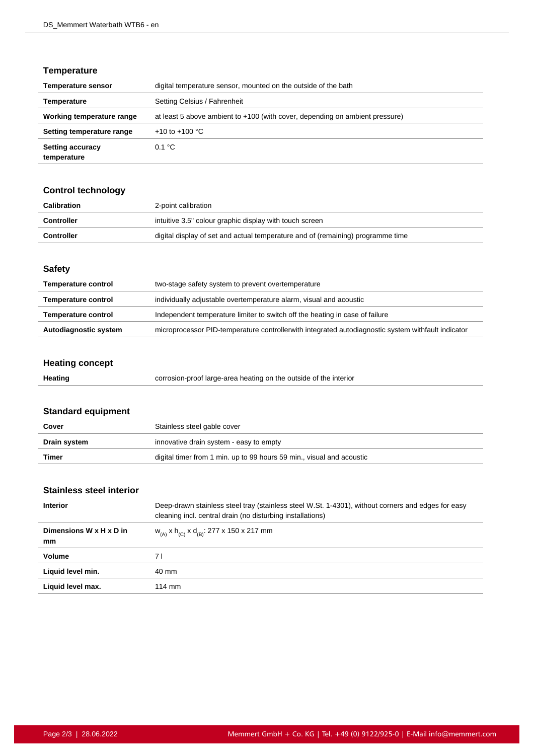## **Temperature**

| <b>Temperature sensor</b>              | digital temperature sensor, mounted on the outside of the bath               |
|----------------------------------------|------------------------------------------------------------------------------|
| Temperature                            | Setting Celsius / Fahrenheit                                                 |
| Working temperature range              | at least 5 above ambient to +100 (with cover, depending on ambient pressure) |
| Setting temperature range              | +10 to +100 $^{\circ}$ C                                                     |
| <b>Setting accuracy</b><br>temperature | 0.1 °C                                                                       |

## **Control technology**

| Calibration       | 2-point calibration                                                             |
|-------------------|---------------------------------------------------------------------------------|
| Controller        | intuitive 3.5" colour graphic display with touch screen                         |
| <b>Controller</b> | digital display of set and actual temperature and of (remaining) programme time |

#### **Safety**

| <b>Temperature control</b> | two-stage safety system to prevent overtemperature                                                 |
|----------------------------|----------------------------------------------------------------------------------------------------|
| <b>Temperature control</b> | individually adjustable overtemperature alarm, visual and acoustic                                 |
| <b>Temperature control</b> | Independent temperature limiter to switch off the heating in case of failure                       |
| Autodiagnostic system      | microprocessor PID-temperature controllerwith integrated autodiagnostic system withfault indicator |

# **Heating concept**

| Heating | corrosion-proof large-area heating on the outside of the interior |
|---------|-------------------------------------------------------------------|
|---------|-------------------------------------------------------------------|

# **Standard equipment**

| Cover        | Stainless steel gable cover                                           |
|--------------|-----------------------------------------------------------------------|
| Drain system | innovative drain system - easy to empty                               |
| Timer        | digital timer from 1 min. up to 99 hours 59 min., visual and acoustic |

## **Stainless steel interior**

| Deep-drawn stainless steel tray (stainless steel W.St. 1-4301), without corners and edges for easy<br>cleaning incl. central drain (no disturbing installations) |
|------------------------------------------------------------------------------------------------------------------------------------------------------------------|
| $W_{(A)}$ x h <sub>(C)</sub> x d <sub>(B)</sub> : 277 x 150 x 217 mm                                                                                             |
| 7 I                                                                                                                                                              |
| 40 mm                                                                                                                                                            |
| $114 \text{ mm}$                                                                                                                                                 |
|                                                                                                                                                                  |